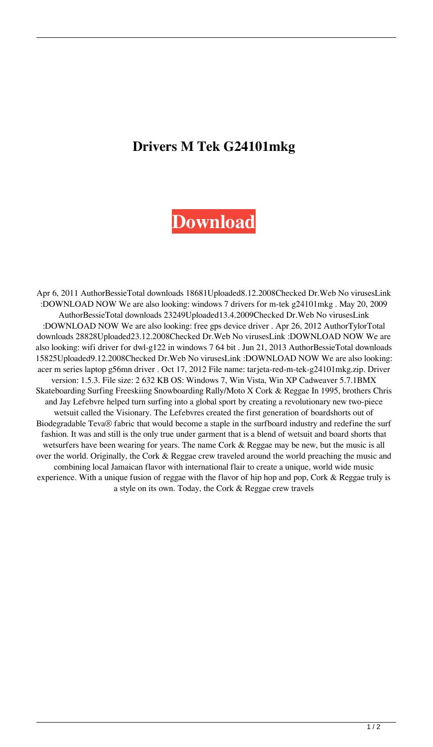## **Drivers M Tek G24101mkg**

## **[Download](http://evacdir.com/ZHJpdmVycyBtIHRlayBnMjQxMDFta2cZHJ.noninfectious?argentia=betrigger&bloops=hhcsrc&ZG93bmxvYWR8V3oyTW1sbE5IeDhNVFkxTWpjME1EZzJObng4TWpVM05IeDhLRTBwSUhKbFlXUXRZbXh2WnlCYlJtRnpkQ0JIUlU1ZA=kana&flashbacks)**

Apr 6, 2011 AuthorBessieTotal downloads 18681Uploaded8.12.2008Checked Dr.Web No virusesLink :DOWNLOAD NOW We are also looking: windows 7 drivers for m-tek g24101mkg . May 20, 2009 AuthorBessieTotal downloads 23249Uploaded13.4.2009Checked Dr.Web No virusesLink :DOWNLOAD NOW We are also looking: free gps device driver . Apr 26, 2012 AuthorTylorTotal downloads 28828Uploaded23.12.2008Checked Dr.Web No virusesLink :DOWNLOAD NOW We are also looking: wifi driver for dwl-g122 in windows 7 64 bit . Jun 21, 2013 AuthorBessieTotal downloads 15825Uploaded9.12.2008Checked Dr.Web No virusesLink :DOWNLOAD NOW We are also looking: acer m series laptop g56mn driver . Oct 17, 2012 File name: tarjeta-red-m-tek-g24101mkg.zip. Driver version: 1.5.3. File size: 2 632 KB OS: Windows 7, Win Vista, Win XP Cadweaver 5.7.1BMX Skateboarding Surfing Freeskiing Snowboarding Rally/Moto X Cork & Reggae In 1995, brothers Chris and Jay Lefebvre helped turn surfing into a global sport by creating a revolutionary new two-piece wetsuit called the Visionary. The Lefebvres created the first generation of boardshorts out of Biodegradable Teva® fabric that would become a staple in the surfboard industry and redefine the surf fashion. It was and still is the only true under garment that is a blend of wetsuit and board shorts that wetsurfers have been wearing for years. The name Cork & Reggae may be new, but the music is all over the world. Originally, the Cork & Reggae crew traveled around the world preaching the music and combining local Jamaican flavor with international flair to create a unique, world wide music experience. With a unique fusion of reggae with the flavor of hip hop and pop, Cork & Reggae truly is a style on its own. Today, the Cork & Reggae crew travels